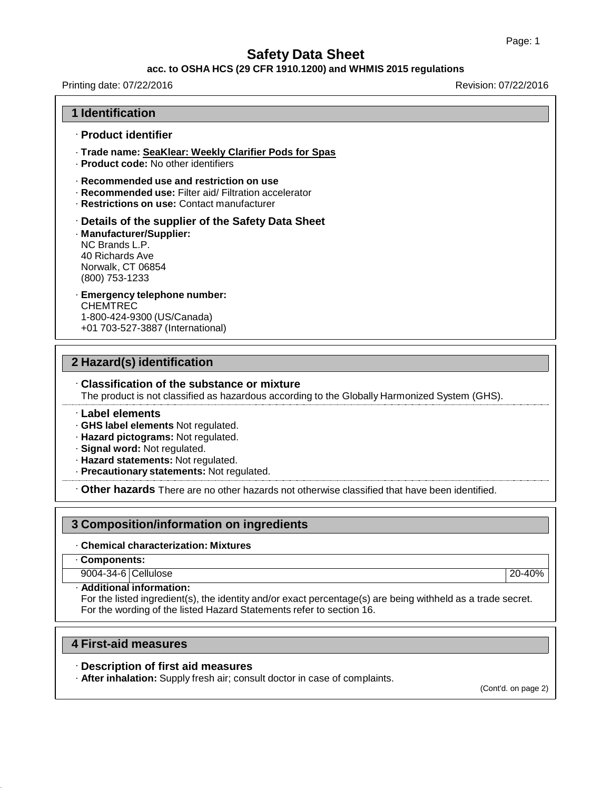#### **acc. to OSHA HCS (29 CFR 1910.1200) and WHMIS 2015 regulations**

Printing date: 07/22/2016 Revision: 07/22/2016

### **1 Identification**

#### · **Product identifier**

- · **Trade name: SeaKlear: Weekly Clarifier Pods for Spas**
- · **Product code:** No other identifiers
- · **Recommended use and restriction on use**
- · **Recommended use:** Filter aid/ Filtration accelerator
- · **Restrictions on use:** Contact manufacturer
- · **Details of the supplier of the Safety Data Sheet**

#### · **Manufacturer/Supplier:** NC Brands L.P. 40 Richards Ave Norwalk, CT 06854 (800) 753-1233

· **Emergency telephone number:** CHEMTREC 1-800-424-9300 (US/Canada) +01 703-527-3887 (International)

### **2 Hazard(s) identification**

# · **Classification of the substance or mixture**

The product is not classified as hazardous according to the Globally Harmonized System (GHS).

#### · **Label elements**

- · **GHS label elements** Not regulated.
- · **Hazard pictograms:** Not regulated.
- · **Signal word:** Not regulated.
- · **Hazard statements:** Not regulated.
- · **Precautionary statements:** Not regulated.

· **Other hazards** There are no other hazards not otherwise classified that have been identified.

### **3 Composition/information on ingredients**

· **Chemical characterization: Mixtures**

#### · **Components:**

9004-34-6 Cellulose 20-40%

· **Additional information:**

For the listed ingredient(s), the identity and/or exact percentage(s) are being withheld as a trade secret. For the wording of the listed Hazard Statements refer to section 16.

### **4 First-aid measures**

#### · **Description of first aid measures**

· **After inhalation:** Supply fresh air; consult doctor in case of complaints.

(Cont'd. on page 2)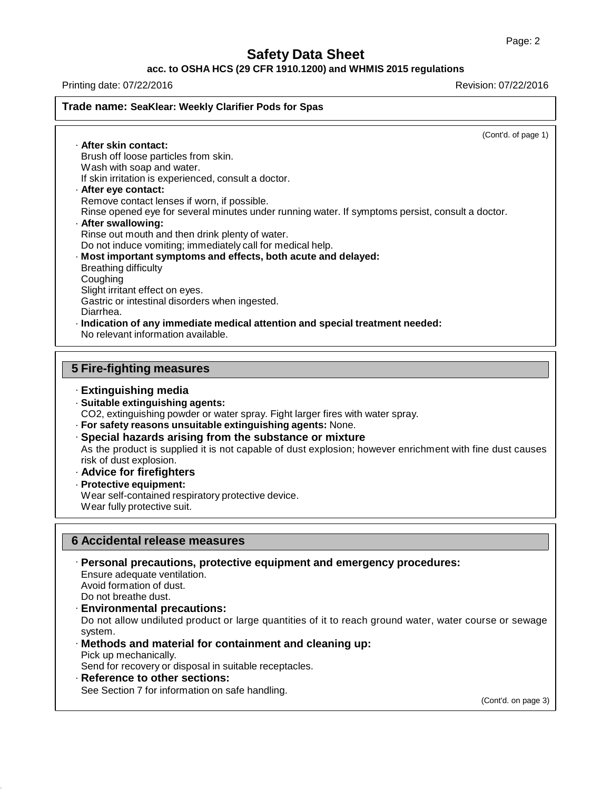### **acc. to OSHA HCS (29 CFR 1910.1200) and WHMIS 2015 regulations**

Printing date: 07/22/2016 Revision: 07/22/2016

### **Trade name: SeaKlear: Weekly Clarifier Pods for Spas**

(Cont'd. of page 1)

· **After skin contact:** Brush off loose particles from skin. Wash with soap and water. If skin irritation is experienced, consult a doctor. · **After eye contact:** Remove contact lenses if worn, if possible. Rinse opened eye for several minutes under running water. If symptoms persist, consult a doctor. · **After swallowing:** Rinse out mouth and then drink plenty of water. Do not induce vomiting; immediately call for medical help. · **Most important symptoms and effects, both acute and delayed:** Breathing difficulty **Coughing** Slight irritant effect on eyes. Gastric or intestinal disorders when ingested. Diarrhea. · **Indication of any immediate medical attention and special treatment needed:** No relevant information available.

### **5 Fire-fighting measures**

- · **Extinguishing media**
- · **Suitable extinguishing agents:**
- CO2, extinguishing powder or water spray. Fight larger fires with water spray.
- · **For safety reasons unsuitable extinguishing agents:** None.
- · **Special hazards arising from the substance or mixture**

As the product is supplied it is not capable of dust explosion; however enrichment with fine dust causes risk of dust explosion.

- · **Advice for firefighters**
- · **Protective equipment:**

Wear self-contained respiratory protective device. Wear fully protective suit.

### **6 Accidental release measures**

· **Personal precautions, protective equipment and emergency procedures:** Ensure adequate ventilation. Avoid formation of dust. Do not breathe dust. · **Environmental precautions:**

Do not allow undiluted product or large quantities of it to reach ground water, water course or sewage system.

- · **Methods and material for containment and cleaning up:** Pick up mechanically. Send for recovery or disposal in suitable receptacles.
- · **Reference to other sections:** See Section 7 for information on safe handling.

(Cont'd. on page 3)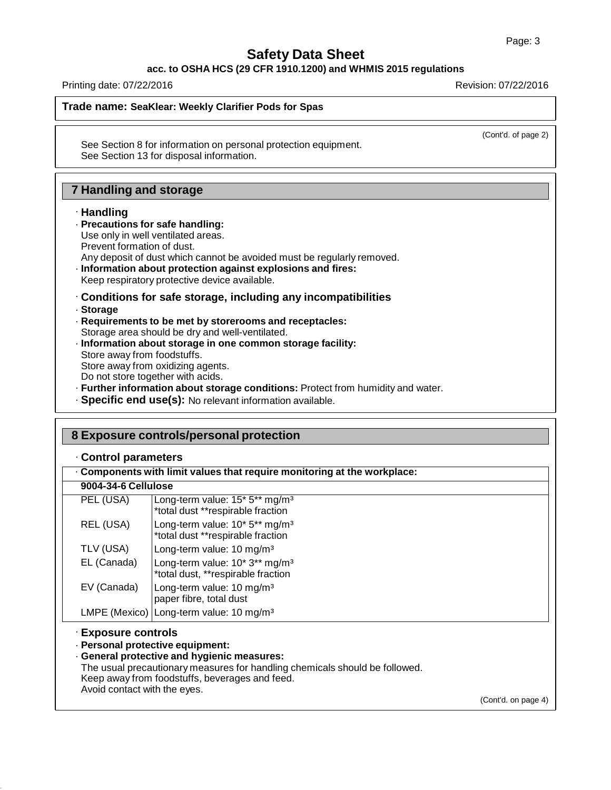**acc. to OSHA HCS (29 CFR 1910.1200) and WHMIS 2015 regulations**

Printing date: 07/22/2016 Revision: 07/22/2016

#### **Trade name: SeaKlear: Weekly Clarifier Pods for Spas**

(Cont'd. of page 2)

See Section 8 for information on personal protection equipment. See Section 13 for disposal information.

### **7 Handling and storage**

#### · **Handling**

#### · **Precautions for safe handling:**

- Use only in well ventilated areas.
- Prevent formation of dust.
- Any deposit of dust which cannot be avoided must be regularly removed.
- · **Information about protection against explosions and fires:** Keep respiratory protective device available.
- · **Conditions for safe storage, including any incompatibilities**
- · **Storage**
- · **Requirements to be met by storerooms and receptacles:** Storage area should be dry and well-ventilated. · **Information about storage in one common storage facility:** Store away from foodstuffs. Store away from oxidizing agents. Do not store together with acids.
- · **Further information about storage conditions:** Protect from humidity and water.
- · **Specific end use(s):** No relevant information available.

|                                                     | 8 Exposure controls/personal protection                                                                                                                                                                          |                     |
|-----------------------------------------------------|------------------------------------------------------------------------------------------------------------------------------------------------------------------------------------------------------------------|---------------------|
| Control parameters                                  |                                                                                                                                                                                                                  |                     |
|                                                     | . Components with limit values that require monitoring at the workplace:                                                                                                                                         |                     |
| 9004-34-6 Cellulose                                 |                                                                                                                                                                                                                  |                     |
| PEL (USA)                                           | Long-term value: 15* 5** mg/m <sup>3</sup><br>*total dust **respirable fraction                                                                                                                                  |                     |
| REL (USA)                                           | Long-term value: 10* 5** mg/m <sup>3</sup><br>*total dust **respirable fraction                                                                                                                                  |                     |
| TLV (USA)                                           | Long-term value: 10 mg/m <sup>3</sup>                                                                                                                                                                            |                     |
| EL (Canada)                                         | Long-term value: 10* 3** mg/m <sup>3</sup><br>*total dust, **respirable fraction                                                                                                                                 |                     |
| EV (Canada)                                         | Long-term value: 10 mg/m <sup>3</sup><br>paper fibre, total dust                                                                                                                                                 |                     |
|                                                     | LMPE (Mexico) Long-term value: 10 mg/m <sup>3</sup>                                                                                                                                                              |                     |
| · Exposure controls<br>Avoid contact with the eyes. | · Personal protective equipment:<br>· General protective and hygienic measures:<br>The usual precautionary measures for handling chemicals should be followed.<br>Keep away from foodstuffs, beverages and feed. |                     |
|                                                     |                                                                                                                                                                                                                  | (Cont'd. on page 4) |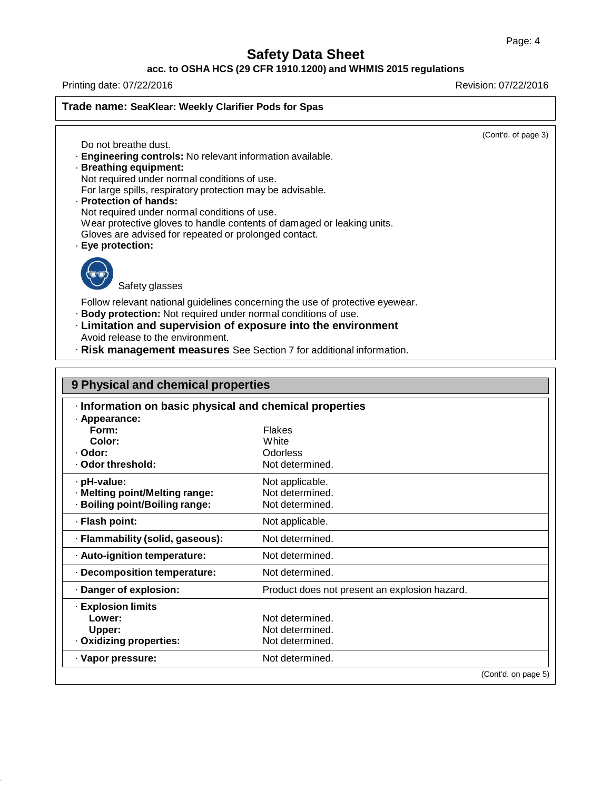### **acc. to OSHA HCS (29 CFR 1910.1200) and WHMIS 2015 regulations**

Printing date: 07/22/2016 Revision: 07/22/2016

**Trade name: SeaKlear: Weekly Clarifier Pods for Spas**

(Cont'd. of page 3)

- Do not breathe dust. · **Engineering controls:** No relevant information available.
- · **Breathing equipment:** Not required under normal conditions of use.
	- For large spills, respiratory protection may be advisable.
- · **Protection of hands:**
- Not required under normal conditions of use.
- Wear protective gloves to handle contents of damaged or leaking units.
- Gloves are advised for repeated or prolonged contact.
- · **Eye protection:**



Safety glasses

Follow relevant national guidelines concerning the use of protective eyewear.

- · **Body protection:** Not required under normal conditions of use.
- · **Limitation and supervision of exposure into the environment** Avoid release to the environment.
- · **Risk management measures** See Section 7 for additional information.

| 9 Physical and chemical properties                      |                                               |                     |  |  |
|---------------------------------------------------------|-----------------------------------------------|---------------------|--|--|
| · Information on basic physical and chemical properties |                                               |                     |  |  |
| · Appearance:                                           |                                               |                     |  |  |
| Form:                                                   | <b>Flakes</b>                                 |                     |  |  |
| Color:                                                  | White                                         |                     |  |  |
| · Odor:                                                 | Odorless                                      |                     |  |  |
| . Odor threshold:                                       | Not determined.                               |                     |  |  |
| · pH-value:                                             | Not applicable.                               |                     |  |  |
| · Melting point/Melting range:                          | Not determined.                               |                     |  |  |
| · Boiling point/Boiling range:                          | Not determined.                               |                     |  |  |
| · Flash point:                                          | Not applicable.                               |                     |  |  |
| · Flammability (solid, gaseous):                        | Not determined.                               |                     |  |  |
| · Auto-ignition temperature:                            | Not determined.                               |                     |  |  |
| · Decomposition temperature:                            | Not determined.                               |                     |  |  |
| Danger of explosion:                                    | Product does not present an explosion hazard. |                     |  |  |
| <b>Explosion limits</b>                                 |                                               |                     |  |  |
| Lower:                                                  | Not determined.                               |                     |  |  |
| Upper:                                                  | Not determined.                               |                     |  |  |
| · Oxidizing properties:                                 | Not determined.                               |                     |  |  |
| · Vapor pressure:                                       | Not determined.                               |                     |  |  |
|                                                         |                                               | (Cont'd. on page 5) |  |  |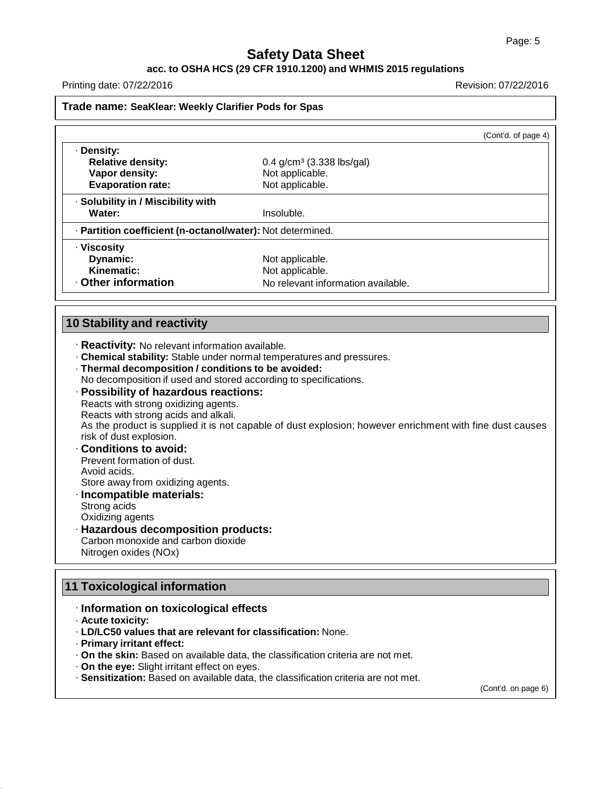#### **acc. to OSHA HCS (29 CFR 1910.1200) and WHMIS 2015 regulations**

Printing date: 07/22/2016 Revision: 07/22/2016

#### **Trade name: SeaKlear: Weekly Clarifier Pods for Spas**

|                                                            |                                         | (Cont'd. of page 4) |
|------------------------------------------------------------|-----------------------------------------|---------------------|
| · Density:                                                 |                                         |                     |
| <b>Relative density:</b>                                   | $0.4$ g/cm <sup>3</sup> (3.338 lbs/gal) |                     |
| Vapor density:                                             | Not applicable.                         |                     |
| <b>Evaporation rate:</b>                                   | Not applicable.                         |                     |
| · Solubility in / Miscibility with                         |                                         |                     |
| Water:                                                     | Insoluble.                              |                     |
| · Partition coefficient (n-octanol/water): Not determined. |                                         |                     |
| · Viscosity                                                |                                         |                     |
| Dynamic:                                                   | Not applicable.                         |                     |
| Kinematic:                                                 | Not applicable.                         |                     |
| Other information                                          | No relevant information available.      |                     |

#### **10 Stability and reactivity**

- · **Reactivity:** No relevant information available.
- · **Chemical stability:** Stable under normal temperatures and pressures.
- · **Thermal decomposition / conditions to be avoided:** No decomposition if used and stored according to specifications.
- · **Possibility of hazardous reactions:**

Reacts with strong oxidizing agents. Reacts with strong acids and alkali. As the product is supplied it is not capable of dust explosion; however enrichment with fine dust causes risk of dust explosion.

· **Conditions to avoid:** Prevent formation of dust.

Avoid acids. Store away from oxidizing agents.

- · **Incompatible materials:** Strong acids
- Oxidizing agents
- · **Hazardous decomposition products:** Carbon monoxide and carbon dioxide Nitrogen oxides (NOx)

# **11 Toxicological information**

- · **Information on toxicological effects**
- · **Acute toxicity:**
- · **LD/LC50 values that are relevant for classification:** None.
- · **Primary irritant effect:**
- · **On the skin:** Based on available data, the classification criteria are not met.
- · **On the eye:** Slight irritant effect on eyes.
- · **Sensitization:** Based on available data, the classification criteria are not met.

(Cont'd. on page 6)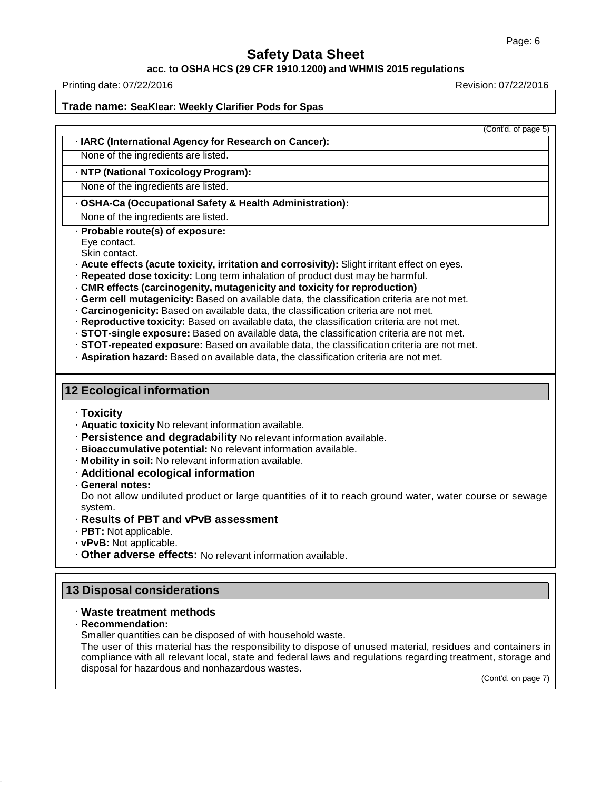#### **acc. to OSHA HCS (29 CFR 1910.1200) and WHMIS 2015 regulations**

Printing date: 07/22/2016 Revision: 07/22/2016

(Cont'd. of page 5)

**Trade name: SeaKlear: Weekly Clarifier Pods for Spas**

· **IARC (International Agency for Research on Cancer):**

None of the ingredients are listed.

· **NTP (National Toxicology Program):**

None of the ingredients are listed.

· **OSHA-Ca (Occupational Safety & Health Administration):**

None of the ingredients are listed.

· **Probable route(s) of exposure:**

Eye contact.

Skin contact.

· **Acute effects (acute toxicity, irritation and corrosivity):** Slight irritant effect on eyes.

· **Repeated dose toxicity:** Long term inhalation of product dust may be harmful.

· **CMR effects (carcinogenity, mutagenicity and toxicity for reproduction)**

· **Germ cell mutagenicity:** Based on available data, the classification criteria are not met.

· **Carcinogenicity:** Based on available data, the classification criteria are not met.

· **Reproductive toxicity:** Based on available data, the classification criteria are not met.

· **STOT-single exposure:** Based on available data, the classification criteria are not met.

· **STOT-repeated exposure:** Based on available data, the classification criteria are not met.

· **Aspiration hazard:** Based on available data, the classification criteria are not met.

# **12 Ecological information**

· **Toxicity**

· **Aquatic toxicity** No relevant information available.

· **Persistence and degradability** No relevant information available.

· **Bioaccumulative potential:** No relevant information available.

· **Mobility in soil:** No relevant information available.

· **Additional ecological information**

· **General notes:**

Do not allow undiluted product or large quantities of it to reach ground water, water course or sewage system.

· **Results of PBT and vPvB assessment**

· **PBT:** Not applicable.

· **vPvB:** Not applicable.

· **Other adverse effects:** No relevant information available.

# **13 Disposal considerations**

### · **Waste treatment methods**

· **Recommendation:**

Smaller quantities can be disposed of with household waste.

The user of this material has the responsibility to dispose of unused material, residues and containers in compliance with all relevant local, state and federal laws and regulations regarding treatment, storage and disposal for hazardous and nonhazardous wastes.

(Cont'd. on page 7)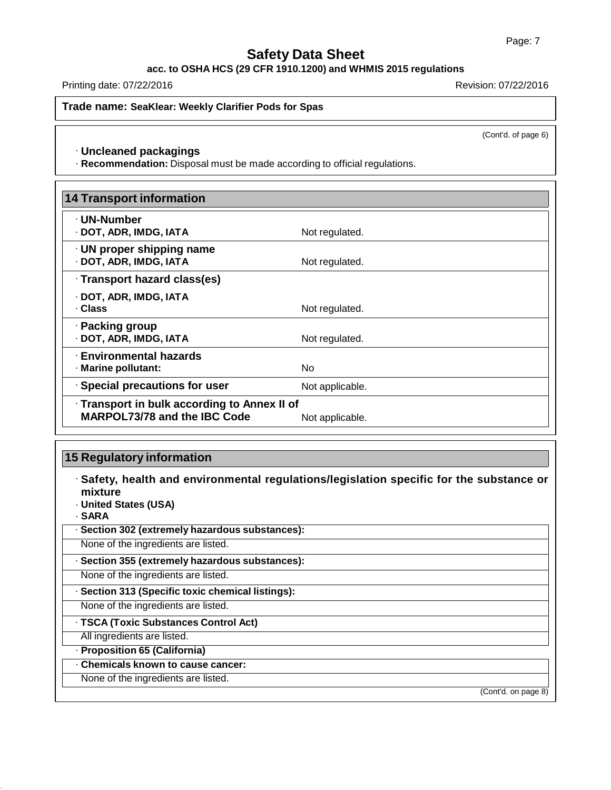**acc. to OSHA HCS (29 CFR 1910.1200) and WHMIS 2015 regulations**

Printing date: 07/22/2016 Revision: 07/22/2016

**Trade name: SeaKlear: Weekly Clarifier Pods for Spas**

(Cont'd. of page 6)

#### · **Uncleaned packagings**

· **Recommendation:** Disposal must be made according to official regulations.

| <b>14 Transport information</b>                           |                 |
|-----------------------------------------------------------|-----------------|
| · UN-Number                                               |                 |
| · DOT, ADR, IMDG, IATA                                    | Not regulated.  |
| $\cdot$ UN proper shipping name<br>· DOT, ADR, IMDG, IATA | Not regulated.  |
| · Transport hazard class(es)                              |                 |
| · DOT, ADR, IMDG, IATA                                    |                 |
| · Class                                                   | Not regulated.  |
| · Packing group                                           |                 |
| · DOT, ADR, IMDG, IATA                                    | Not regulated.  |
| · Environmental hazards                                   |                 |
| · Marine pollutant:                                       | No.             |
| · Special precautions for user                            | Not applicable. |
| · Transport in bulk according to Annex II of              |                 |
| <b>MARPOL73/78 and the IBC Code</b>                       | Not applicable. |

# **15 Regulatory information**

· **Safety, health and environmental regulations/legislation specific for the substance or mixture**

· **United States (USA)**

· **SARA**

| · Section 302 (extremely hazardous substances): |
|-------------------------------------------------|
|-------------------------------------------------|

None of the ingredients are listed.

· **Section 355 (extremely hazardous substances):**

None of the ingredients are listed.

· **Section 313 (Specific toxic chemical listings):**

None of the ingredients are listed.

· **TSCA (Toxic Substances Control Act)**

All ingredients are listed.

· **Proposition 65 (California)**

· **Chemicals known to cause cancer:**

None of the ingredients are listed.

(Cont'd. on page 8)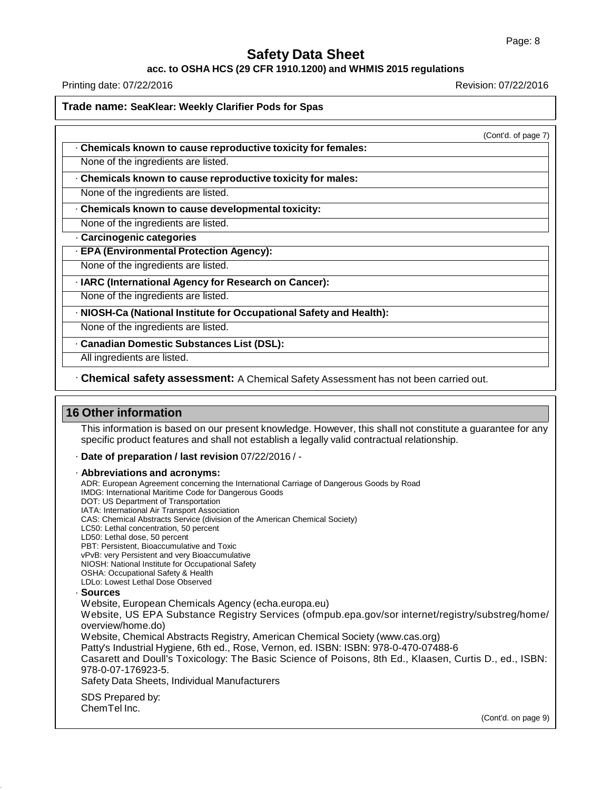#### **acc. to OSHA HCS (29 CFR 1910.1200) and WHMIS 2015 regulations**

Printing date: 07/22/2016 Revision: 07/22/2016

**Trade name: SeaKlear: Weekly Clarifier Pods for Spas**

(Cont'd. of page 7)

· **Chemicals known to cause reproductive toxicity for females:**

None of the ingredients are listed.

· **Chemicals known to cause reproductive toxicity for males:**

None of the ingredients are listed.

· **Chemicals known to cause developmental toxicity:**

None of the ingredients are listed.

· **Carcinogenic categories**

· **EPA (Environmental Protection Agency):**

None of the ingredients are listed.

· **IARC (International Agency for Research on Cancer):**

None of the ingredients are listed.

· **NIOSH-Ca (National Institute for Occupational Safety and Health):**

None of the ingredients are listed.

· **Canadian Domestic Substances List (DSL):**

All ingredients are listed.

· **Chemical safety assessment:** A Chemical Safety Assessment has not been carried out.

### **16 Other information**

This information is based on our present knowledge. However, this shall not constitute a guarantee for any specific product features and shall not establish a legally valid contractual relationship.

· **Date of preparation / last revision** 07/22/2016 / -

· **Abbreviations and acronyms:** ADR: European Agreement concerning the International Carriage of Dangerous Goods by Road IMDG: International Maritime Code for Dangerous Goods DOT: US Department of Transportation IATA: International Air Transport Association CAS: Chemical Abstracts Service (division of the American Chemical Society) LC50: Lethal concentration, 50 percent LD50: Lethal dose, 50 percent PBT: Persistent, Bioaccumulative and Toxic vPvB: very Persistent and very Bioaccumulative NIOSH: National Institute for Occupational Safety OSHA: Occupational Safety & Health LDLo: Lowest Lethal Dose Observed · **Sources** Website, European Chemicals Agency (echa.europa.eu) Website, US EPA Substance Registry Services (ofmpub.epa.gov/sor internet/registry/substreg/home/ overview/home.do) Website, Chemical Abstracts Registry, American Chemical Society (www.cas.org) Patty's Industrial Hygiene, 6th ed., Rose, Vernon, ed. ISBN: ISBN: 978-0-470-07488-6 Casarett and Doull's Toxicology: The Basic Science of Poisons, 8th Ed., Klaasen, Curtis D., ed., ISBN: 978-0-07-176923-5. Safety Data Sheets, Individual Manufacturers SDS Prepared by: ChemTel Inc.

(Cont'd. on page 9)